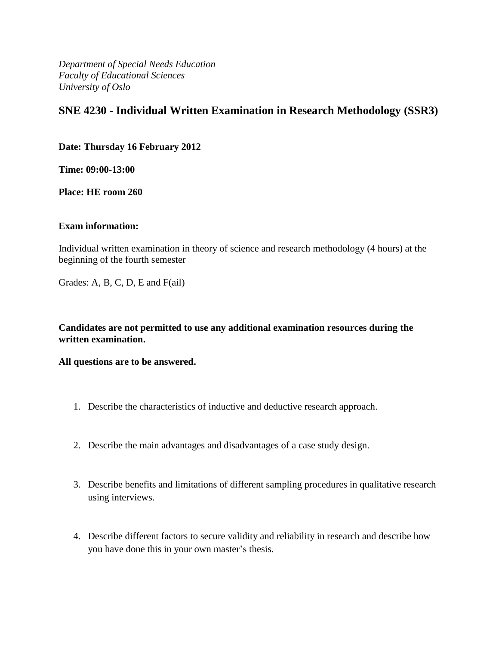*Department of Special Needs Education Faculty of Educational Sciences University of Oslo*

# **SNE 4230 - Individual Written Examination in Research Methodology (SSR3)**

**Date: Thursday 16 February 2012**

**Time: 09:00-13:00**

**Place: HE room 260**

### **Exam information:**

Individual written examination in theory of science and research methodology (4 hours) at the beginning of the fourth semester

Grades: A, B, C, D, E and F(ail)

**Candidates are not permitted to use any additional examination resources during the written examination.**

**All questions are to be answered.**

- 1. Describe the characteristics of inductive and deductive research approach.
- 2. Describe the main advantages and disadvantages of a case study design.
- 3. Describe benefits and limitations of different sampling procedures in qualitative research using interviews.
- 4. Describe different factors to secure validity and reliability in research and describe how you have done this in your own master's thesis.